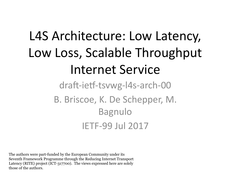# L4S Architecture: Low Latency, Low Loss, Scalable Throughput Internet Service

draft-ietf-tsvwg-l4s-arch-00 B. Briscoe, K. De Schepper, M. Bagnulo IETF-99 Jul 2017

The authors were part-funded by the European Community under its Seventh Framework Programme through the Reducing Internet Transport Latency (RITE) project (ICT-317700). The views expressed here are solely those of the authors.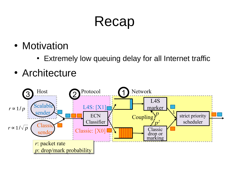### Recap

- Motivation
	- Extremely low queuing delay for all Internet traffic
- Architecture

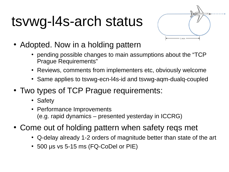# tsvwg-l4s-arch status



- Adopted. Now in a holding pattern
	- pending possible changes to main assumptions about the "TCP Prague Requirements"
	- Reviews, comments from implementers etc, obviously welcome
	- Same applies to tsvwg-ecn-I4s-id and tsvwg-aqm-dualq-coupled
- Two types of TCP Prague requirements:
	- Safety
	- Performance Improvements (e.g. rapid dynamics – presented yesterday in ICCRG)
- Come out of holding pattern when safety reqs met
	- O-delay already 1-2 orders of magnitude better than state of the art
	- $\cdot$  500 µs vs 5-15 ms (FQ-CoDel or PIE)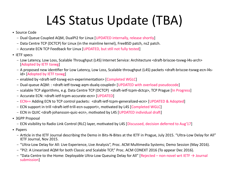## L4S Status Update (TBA)

- Source Code
	- Dual Queue Coupled AQM, DualPI2 for Linux [UPDATED internally, release shortly]
	- Data Centre TCP (DCTCP) for Linux (in the mainline kernel), FreeBSD patch, ns2 patch.
	- Accurate ECN TCP Feedback for Linux [UPDATED, but still not fully tested]
- IETF specs
	- Low Latency, Low Loss, Scalable Throughput (L4S) Internet Service: Architecture <draft-briscoe-tsvwg-l4s-arch> [Adopted by IETF tsvwg]
	- A proposed new identifier for Low Latency, Low Loss, Scalable throughput (L4S) packets <draft-briscoe-tsvwg-ecn-l4sid> [Adopted by IETF tsvwg]
	- enabled by <draft-ietf-tsvwg-ecn-experimentation> [Completed WGLC]
	- Dual-queue AQM: : <draft-ietf-tsvwg-aqm-dualq-coupled> [UPDATED with overload pseudocode]
	- scalable TCP algorithms, e.g. Data Centre TCP (DCTCP) <draft-ietf-tcpm-dctcp>, TCP Prague [In Progress]
	- Accurate ECN: <draft-ietf-tcpm-accurate-ecn> [UPDATED]
	- ECN++ Adding ECN to TCP control packets: <draft-ietf-tcpm-generalized-ecn> [UPDATED & Adopted]
	- ECN support in trill <draft-ietf-trill-ecn-support>, motivated by L4S [Completed WGLC]
	- ECN in QUIC <draft-johansson-quic-ecn>, motivated by L4S [UPDATED individual draft]
- 3GPP Proposal
	- ECN visibility to Radio Link Control (RLC) layer, motivated by L4S [Discussed, decision deferred to Aug'17]
- Papers
	- Article in the IETF Journal describing the Demo in Bits-N-Bites at the IETF in Prague, July 2015. "Ultra-Low Delay for All" IETF Journal, Nov 2015.
	- "Ultra-Low Delay for All: Live Experience, Live Analysis", Proc. ACM Multimedia Systems; Demo Session (May 2016).
	- "PI2: A Linearized AQM for both Classic and Scalable TCP," Proc. ACM CONEXT 2016 (To appear Dec 2016).
	- "Data Centre to the Home: Deployable Ultra-Low Queuing Delay for All" [Rejected non-novel wrt IETF → Journal submission]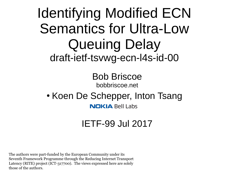### Identifying Modified ECN Semantics for Ultra-Low Queuing Delay draft-ietf-tsvwg-ecn-l4s-id-00

Bob Briscoe bobbriscoe.net

• Koen De Schepper, Inton Tsang **NOKIA Bell Labs** 

#### IETF-99 Jul 2017

The authors were part-funded by the European Community under its Seventh Framework Programme through the Reducing Internet Transport Latency (RITE) project (ICT-317700). The views expressed here are solely those of the authors.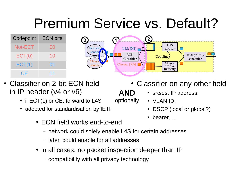## Premium Service vs. Default?

**AND**

optionally

| Codepoint | <b>ECN bits</b> |
|-----------|-----------------|
| Not-ECT   | OO              |
| ECT(0)    | 10              |
| ECT(1)    | 01              |
| CF        | 11              |



- Classifier on 2-bit ECN field in IP header (v4 or v6)
	- $\cdot$  if ECT(1) or CE, forward to L4S
	- adopted for standardisation by IETF
		- ECN field works end-to-end
			- network could solely enable L4S for certain addresses
			- later, could enable for all addresses
		- in all cases, no packet inspection deeper than IP
			- compatibility with all privacy technology
- Classifier on any other field
	- src/dst IP address
	- $\cdot$  VLAN ID,
	- DSCP (local or global?)
	- bearer, ...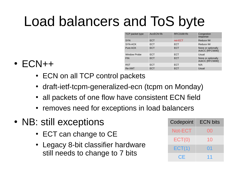# Load balancers and ToS byte

| TCP packet type     | AccECN f/b | RFC3168 f/b | Congestion<br>response                |
|---------------------|------------|-------------|---------------------------------------|
| <b>SYN</b>          | <b>ECT</b> | not-ECT     | Reduce IW                             |
| SYN-ACK             | <b>ECT</b> | <b>ECT</b>  | Reduce IW                             |
| Pure ACK            | <b>ECT</b> | <b>ECT</b>  | None or optionally<br>AckCC [RFC5690] |
| <b>Window Probe</b> | <b>ECT</b> | <b>ECT</b>  | Usual                                 |
| <b>FIN</b>          | <b>ECT</b> | <b>ECT</b>  | None or optionally<br>AckCC [RFC5690] |
| <b>RST</b>          | <b>ECT</b> | <b>ECT</b>  | N/A                                   |
| Re-XMT              | <b>ECT</b> | <b>ECT</b>  | Usual                                 |

- $\cdot$  ECN++
	- ECN on all TCP control packets
	- draft-ietf-tcpm-generalized-ecn (tcpm on Monday)
	- all packets of one flow have consistent ECN field
	- removes need for exceptions in load balancers
- NB: still exceptions
	- $\bullet$  ECT can change to CE
	- Legacy 8-bit classifier hardware still needs to change to 7 bits

| Codepoint | <b>ECN bits</b> |  |
|-----------|-----------------|--|
| Not-ECT   | UO              |  |
| ECT(0)    | 10              |  |
| ECT(1)    | 01              |  |
| CF        | 11              |  |